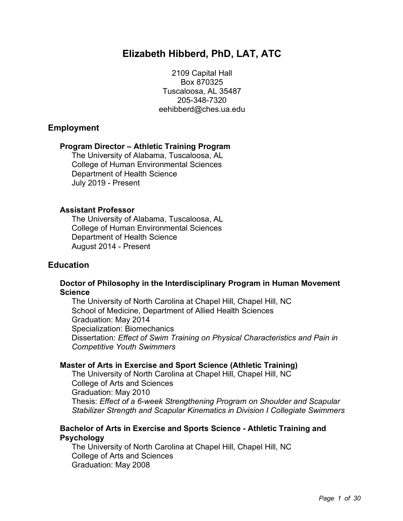# **Elizabeth Hibberd, PhD, LAT, ATC**

2109 Capital Hall Box 870325 Tuscaloosa, AL 35487 205-348-7320 eehibberd@ches.ua.edu

# **Employment**

### **Program Director – Athletic Training Program**

The University of Alabama, Tuscaloosa, AL College of Human Environmental Sciences Department of Health Science July 2019 - Present

### **Assistant Professor**

The University of Alabama, Tuscaloosa, AL College of Human Environmental Sciences Department of Health Science August 2014 - Present

# **Education**

### **Doctor of Philosophy in the Interdisciplinary Program in Human Movement Science**

The University of North Carolina at Chapel Hill, Chapel Hill, NC School of Medicine, Department of Allied Health Sciences Graduation: May 2014 Specialization: Biomechanics Dissertation: *Effect of Swim Training on Physical Characteristics and Pain in Competitive Youth Swimmers*

# **Master of Arts in Exercise and Sport Science (Athletic Training)**

The University of North Carolina at Chapel Hill, Chapel Hill, NC College of Arts and Sciences Graduation: May 2010 Thesis: *Effect of a 6-week Strengthening Program on Shoulder and Scapular Stabilizer Strength and Scapular Kinematics in Division I Collegiate Swimmers*

### **Bachelor of Arts in Exercise and Sports Science - Athletic Training and Psychology**

The University of North Carolina at Chapel Hill, Chapel Hill, NC College of Arts and Sciences Graduation: May 2008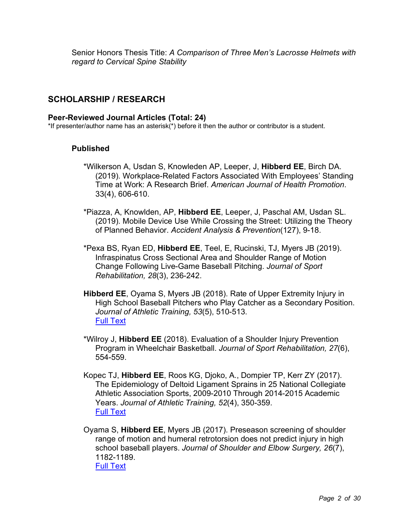Senior Honors Thesis Title: *A Comparison of Three Men's Lacrosse Helmets with regard to Cervical Spine Stability*

# **SCHOLARSHIP / RESEARCH**

#### **Peer-Reviewed Journal Articles (Total: 24)**

\*If presenter/author name has an asterisk(\*) before it then the author or contributor is a student.

### **Published**

- \*Wilkerson A, Usdan S, Knowleden AP, Leeper, J, **Hibberd EE**, Birch DA. (2019). Workplace-Related Factors Associated With Employees' Standing Time at Work: A Research Brief. *American Journal of Health Promotion*. 33(4), 606-610.
- \*Piazza, A, Knowlden, AP, **Hibberd EE**, Leeper, J, Paschal AM, Usdan SL. (2019). Mobile Device Use While Crossing the Street: Utilizing the Theory of Planned Behavior. *Accident Analysis & Prevention*(127), 9-18.
- \*Pexa BS, Ryan ED, **Hibberd EE**, Teel, E, Rucinski, TJ, Myers JB (2019). Infraspinatus Cross Sectional Area and Shoulder Range of Motion Change Following Live-Game Baseball Pitching. *Journal of Sport Rehabilitation, 28*(3), 236-242.
- **Hibberd EE**, Oyama S, Myers JB (2018). Rate of Upper Extremity Injury in High School Baseball Pitchers who Play Catcher as a Secondary Position. *Journal of Athletic Training, 53*(5), 510-513. Full Text
- \*Wilroy J, **Hibberd EE** (2018). Evaluation of a Shoulder Injury Prevention Program in Wheelchair Basketball. *Journal of Sport Rehabilitation, 27*(6), 554-559.
- Kopec TJ, **Hibberd EE**, Roos KG, Djoko, A., Dompier TP, Kerr ZY (2017). The Epidemiology of Deltoid Ligament Sprains in 25 National Collegiate Athletic Association Sports, 2009-2010 Through 2014-2015 Academic Years. *Journal of Athletic Training, 52*(4), 350-359. Full Text
- Oyama S, **Hibberd EE**, Myers JB (2017). Preseason screening of shoulder range of motion and humeral retrotorsion does not predict injury in high school baseball players. *Journal of Shoulder and Elbow Surgery, 26*(7), 1182-1189. Full Text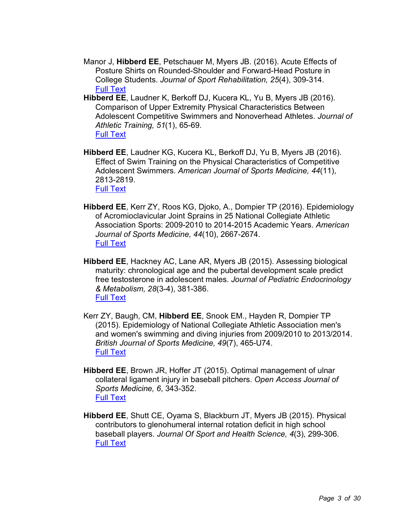- Manor J, **Hibberd EE**, Petschauer M, Myers JB. (2016). Acute Effects of Posture Shirts on Rounded-Shoulder and Forward-Head Posture in College Students. *Journal of Sport Rehabilitation, 25*(4), 309-314. Full Text
- **Hibberd EE**, Laudner K, Berkoff DJ, Kucera KL, Yu B, Myers JB (2016). Comparison of Upper Extremity Physical Characteristics Between Adolescent Competitive Swimmers and Nonoverhead Athletes. *Journal of Athletic Training, 51*(1), 65-69. Full Text
- **Hibberd EE**, Laudner KG, Kucera KL, Berkoff DJ, Yu B, Myers JB (2016). Effect of Swim Training on the Physical Characteristics of Competitive Adolescent Swimmers. *American Journal of Sports Medicine, 44*(11), 2813-2819. Full Text
- **Hibberd EE**, Kerr ZY, Roos KG, Djoko, A., Dompier TP (2016). Epidemiology of Acromioclavicular Joint Sprains in 25 National Collegiate Athletic Association Sports: 2009-2010 to 2014-2015 Academic Years. *American Journal of Sports Medicine, 44*(10), 2667-2674. Full Text
- **Hibberd EE**, Hackney AC, Lane AR, Myers JB (2015). Assessing biological maturity: chronological age and the pubertal development scale predict free testosterone in adolescent males. *Journal of Pediatric Endocrinology & Metabolism, 28*(3-4), 381-386. Full Text
- Kerr ZY, Baugh, CM, **Hibberd EE**, Snook EM., Hayden R, Dompier TP (2015). Epidemiology of National Collegiate Athletic Association men's and women's swimming and diving injuries from 2009/2010 to 2013/2014. *British Journal of Sports Medicine, 49*(7), 465-U74. Full Text
- **Hibberd EE**, Brown JR, Hoffer JT (2015). Optimal management of ulnar collateral ligament injury in baseball pitchers. *Open Access Journal of Sports Medicine, 6*, 343-352. Full Text
- **Hibberd EE**, Shutt CE, Oyama S, Blackburn JT, Myers JB (2015). Physical contributors to glenohumeral internal rotation deficit in high school baseball players. *Journal Of Sport and Health Science, 4*(3), 299-306. Full Text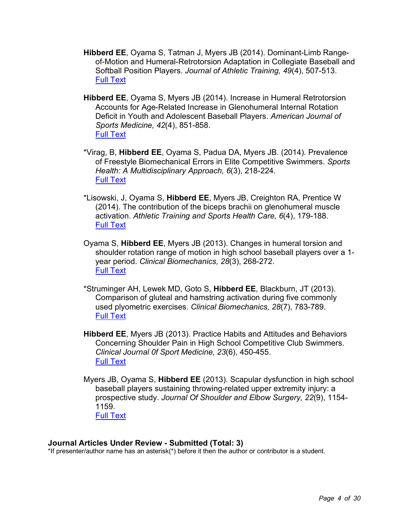- **Hibberd EE**, Oyama S, Tatman J, Myers JB (2014). Dominant-Limb Rangeof-Motion and Humeral-Retrotorsion Adaptation in Collegiate Baseball and Softball Position Players. *Journal of Athletic Training, 49*(4), 507-513. Full Text
- **Hibberd EE**, Oyama S, Myers JB (2014). Increase in Humeral Retrotorsion Accounts for Age-Related Increase in Glenohumeral Internal Rotation Deficit in Youth and Adolescent Baseball Players. *American Journal of Sports Medicine, 42*(4), 851-858. Full Text
- \*Virag, B, **Hibberd EE**, Oyama S, Padua DA, Myers JB. (2014). Prevalence of Freestyle Biomechanical Errors in Elite Competitive Swimmers. *Sports Health: A Multidisciplinary Approach, 6*(3), 218-224. Full Text
- \*Lisowski, J, Oyama S, **Hibberd EE**, Myers JB, Creighton RA, Prentice W (2014). The contribution of the biceps brachii on glenohumeral muscle activation. *Athletic Training and Sports Health Care, 6*(4), 179-188. Full Text
- Oyama S, **Hibberd EE**, Myers JB (2013). Changes in humeral torsion and shoulder rotation range of motion in high school baseball players over a 1 year period. *Clinical Biomechanics, 28*(3), 268-272. Full Text
- \*Struminger AH, Lewek MD, Goto S, **Hibberd EE**, Blackburn, JT (2013). Comparison of gluteal and hamstring activation during five commonly used plyometric exercises. *Clinical Biomechanics, 28*(7), 783-789. Full Text
- **Hibberd EE**, Myers JB (2013). Practice Habits and Attitudes and Behaviors Concerning Shoulder Pain in High School Competitive Club Swimmers. *Clinical Journal 0f Sport Medicine, 23*(6), 450-455. Full Text
- Myers JB, Oyama S, **Hibberd EE** (2013). Scapular dysfunction in high school baseball players sustaining throwing-related upper extremity injury: a prospective study. *Journal Of Shoulder and Elbow Surgery, 22*(9), 1154- 1159. Full Text

#### **Journal Articles Under Review - Submitted (Total: 3)**

\*If presenter/author name has an asterisk(\*) before it then the author or contributor is a student.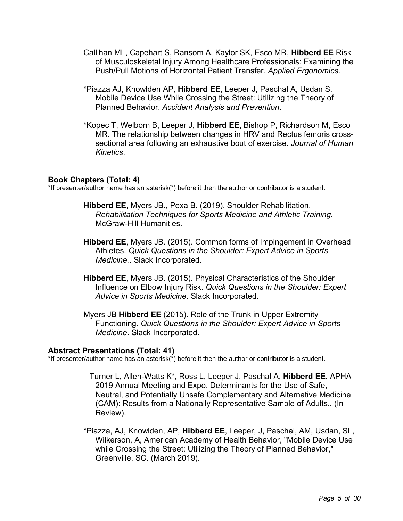- Callihan ML, Capehart S, Ransom A, Kaylor SK, Esco MR, **Hibberd EE** Risk of Musculoskeletal Injury Among Healthcare Professionals: Examining the Push/Pull Motions of Horizontal Patient Transfer. *Applied Ergonomics*.
- \*Piazza AJ, Knowlden AP, **Hibberd EE**, Leeper J, Paschal A, Usdan S. Mobile Device Use While Crossing the Street: Utilizing the Theory of Planned Behavior. *Accident Analysis and Prevention*.
- \*Kopec T, Welborn B, Leeper J, **Hibberd EE**, Bishop P, Richardson M, Esco MR. The relationship between changes in HRV and Rectus femoris crosssectional area following an exhaustive bout of exercise. *Journal of Human Kinetics*.

### **Book Chapters (Total: 4)**

\*If presenter/author name has an asterisk(\*) before it then the author or contributor is a student.

- **Hibberd EE**, Myers JB., Pexa B. (2019). Shoulder Rehabilitation. *Rehabilitation Techniques for Sports Medicine and Athletic Training.*  McGraw-Hill Humanities.
- **Hibberd EE**, Myers JB. (2015). Common forms of Impingement in Overhead Athletes. *Quick Questions in the Shoulder: Expert Advice in Sports Medicine.*. Slack Incorporated.
- **Hibberd EE**, Myers JB. (2015). Physical Characteristics of the Shoulder Influence on Elbow Injury Risk. *Quick Questions in the Shoulder: Expert Advice in Sports Medicine*. Slack Incorporated.
- Myers JB **Hibberd EE** (2015). Role of the Trunk in Upper Extremity Functioning. *Quick Questions in the Shoulder: Expert Advice in Sports Medicine*. Slack Incorporated.

#### **Abstract Presentations (Total: 41)**

\*If presenter/author name has an asterisk(\*) before it then the author or contributor is a student.

- Turner L, Allen-Watts K\*, Ross L, Leeper J, Paschal A, **Hibberd EE.** APHA 2019 Annual Meeting and Expo. Determinants for the Use of Safe, Neutral, and Potentially Unsafe Complementary and Alternative Medicine (CAM): Results from a Nationally Representative Sample of Adults.. (In Review).
- \*Piazza, AJ, Knowlden, AP, **Hibberd EE**, Leeper, J, Paschal, AM, Usdan, SL, Wilkerson, A, American Academy of Health Behavior, "Mobile Device Use while Crossing the Street: Utilizing the Theory of Planned Behavior," Greenville, SC. (March 2019).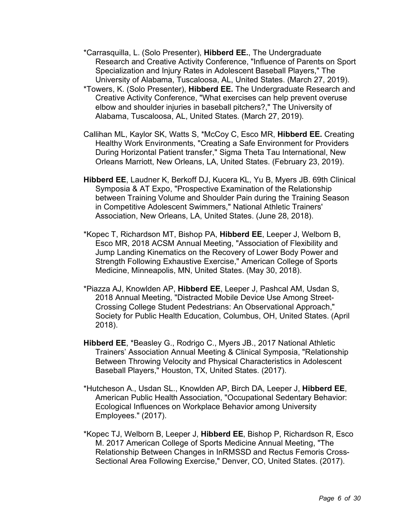- \*Carrasquilla, L. (Solo Presenter), **Hibberd EE.**, The Undergraduate Research and Creative Activity Conference, "Influence of Parents on Sport Specialization and Injury Rates in Adolescent Baseball Players," The University of Alabama, Tuscaloosa, AL, United States. (March 27, 2019).
- \*Towers, K. (Solo Presenter), **Hibberd EE.** The Undergraduate Research and Creative Activity Conference, "What exercises can help prevent overuse elbow and shoulder injuries in baseball pitchers?," The University of Alabama, Tuscaloosa, AL, United States. (March 27, 2019).
- Callihan ML, Kaylor SK, Watts S, \*McCoy C, Esco MR, **Hibberd EE.** Creating Healthy Work Environments, "Creating a Safe Environment for Providers During Horizontal Patient transfer," Sigma Theta Tau International, New Orleans Marriott, New Orleans, LA, United States. (February 23, 2019).
- **Hibberd EE**, Laudner K, Berkoff DJ, Kucera KL, Yu B, Myers JB. 69th Clinical Symposia & AT Expo, "Prospective Examination of the Relationship between Training Volume and Shoulder Pain during the Training Season in Competitive Adolescent Swimmers," National Athletic Trainers' Association, New Orleans, LA, United States. (June 28, 2018).
- \*Kopec T, Richardson MT, Bishop PA, **Hibberd EE**, Leeper J, Welborn B, Esco MR, 2018 ACSM Annual Meeting, "Association of Flexibility and Jump Landing Kinematics on the Recovery of Lower Body Power and Strength Following Exhaustive Exercise," American College of Sports Medicine, Minneapolis, MN, United States. (May 30, 2018).
- \*Piazza AJ, Knowlden AP, **Hibberd EE**, Leeper J, Pashcal AM, Usdan S, 2018 Annual Meeting, "Distracted Mobile Device Use Among Street-Crossing College Student Pedestrians: An Observational Approach," Society for Public Health Education, Columbus, OH, United States. (April 2018).
- **Hibberd EE**, \*Beasley G., Rodrigo C., Myers JB., 2017 National Athletic Trainers' Association Annual Meeting & Clinical Symposia, "Relationship Between Throwing Velocity and Physical Characteristics in Adolescent Baseball Players," Houston, TX, United States. (2017).
- \*Hutcheson A., Usdan SL., Knowlden AP, Birch DA, Leeper J, **Hibberd EE**, American Public Health Association, "Occupational Sedentary Behavior: Ecological Influences on Workplace Behavior among University Employees." (2017).
- \*Kopec TJ, Welborn B, Leeper J, **Hibberd EE**, Bishop P, Richardson R, Esco M. 2017 American College of Sports Medicine Annual Meeting, "The Relationship Between Changes in InRMSSD and Rectus Femoris Cross-Sectional Area Following Exercise," Denver, CO, United States. (2017).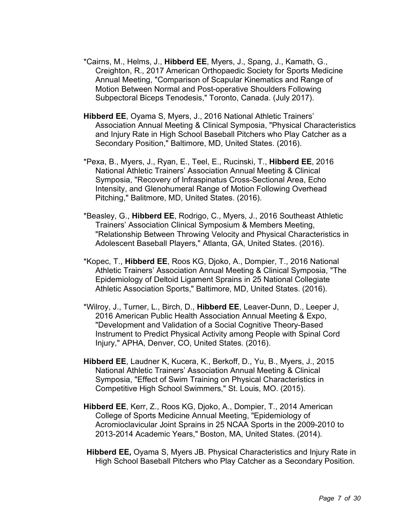- \*Cairns, M., Helms, J., **Hibberd EE**, Myers, J., Spang, J., Kamath, G., Creighton, R., 2017 American Orthopaedic Society for Sports Medicine Annual Meeting, "Comparison of Scapular Kinematics and Range of Motion Between Normal and Post-operative Shoulders Following Subpectoral Biceps Tenodesis," Toronto, Canada. (July 2017).
- **Hibberd EE**, Oyama S, Myers, J., 2016 National Athletic Trainers' Association Annual Meeting & Clinical Symposia, "Physical Characteristics and Injury Rate in High School Baseball Pitchers who Play Catcher as a Secondary Position," Baltimore, MD, United States. (2016).
- \*Pexa, B., Myers, J., Ryan, E., Teel, E., Rucinski, T., **Hibberd EE**, 2016 National Athletic Trainers' Association Annual Meeting & Clinical Symposia, "Recovery of Infraspinatus Cross-Sectional Area, Echo Intensity, and Glenohumeral Range of Motion Following Overhead Pitching," Balitmore, MD, United States. (2016).
- \*Beasley, G., **Hibberd EE**, Rodrigo, C., Myers, J., 2016 Southeast Athletic Trainers' Association Clinical Symposium & Members Meeting, "Relationship Between Throwing Velocity and Physical Characteristics in Adolescent Baseball Players," Atlanta, GA, United States. (2016).
- \*Kopec, T., **Hibberd EE**, Roos KG, Djoko, A., Dompier, T., 2016 National Athletic Trainers' Association Annual Meeting & Clinical Symposia, "The Epidemiology of Deltoid Ligament Sprains in 25 National Collegiate Athletic Association Sports," Baltimore, MD, United States. (2016).
- \*Wilroy, J., Turner, L., Birch, D., **Hibberd EE**, Leaver-Dunn, D., Leeper J, 2016 American Public Health Association Annual Meeting & Expo, "Development and Validation of a Social Cognitive Theory-Based Instrument to Predict Physical Activity among People with Spinal Cord Injury," APHA, Denver, CO, United States. (2016).
- **Hibberd EE**, Laudner K, Kucera, K., Berkoff, D., Yu, B., Myers, J., 2015 National Athletic Trainers' Association Annual Meeting & Clinical Symposia, "Effect of Swim Training on Physical Characteristics in Competitive High School Swimmers," St. Louis, MO. (2015).
- **Hibberd EE**, Kerr, Z., Roos KG, Djoko, A., Dompier, T., 2014 American College of Sports Medicine Annual Meeting, "Epidemiology of Acromioclavicular Joint Sprains in 25 NCAA Sports in the 2009-2010 to 2013-2014 Academic Years," Boston, MA, United States. (2014).
- **Hibberd EE,** Oyama S, Myers JB. Physical Characteristics and Injury Rate in High School Baseball Pitchers who Play Catcher as a Secondary Position.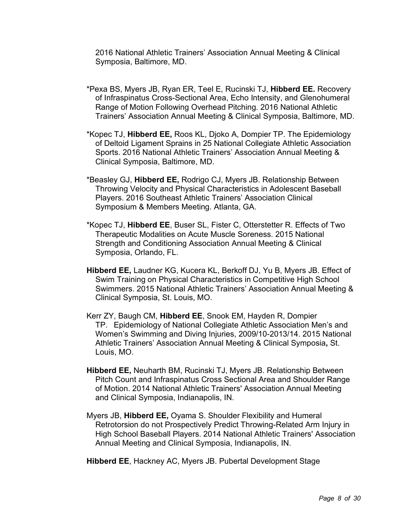2016 National Athletic Trainers' Association Annual Meeting & Clinical Symposia, Baltimore, MD.

- \*Pexa BS, Myers JB, Ryan ER, Teel E, Rucinski TJ, **Hibberd EE.** Recovery of Infraspinatus Cross-Sectional Area, Echo Intensity, and Glenohumeral Range of Motion Following Overhead Pitching. 2016 National Athletic Trainers' Association Annual Meeting & Clinical Symposia, Baltimore, MD.
- \*Kopec TJ, **Hibberd EE,** Roos KL, Djoko A, Dompier TP. The Epidemiology of Deltoid Ligament Sprains in 25 National Collegiate Athletic Association Sports. 2016 National Athletic Trainers' Association Annual Meeting & Clinical Symposia, Baltimore, MD.
- \*Beasley GJ, **Hibberd EE,** Rodrigo CJ, Myers JB. Relationship Between Throwing Velocity and Physical Characteristics in Adolescent Baseball Players. 2016 Southeast Athletic Trainers' Association Clinical Symposium & Members Meeting. Atlanta, GA.
- \*Kopec TJ, **Hibberd EE**, Buser SL, Fister C, Otterstetter R. Effects of Two Therapeutic Modalities on Acute Muscle Soreness. 2015 National Strength and Conditioning Association Annual Meeting & Clinical Symposia, Orlando, FL.
- **Hibberd EE,** Laudner KG, Kucera KL, Berkoff DJ, Yu B, Myers JB. Effect of Swim Training on Physical Characteristics in Competitive High School Swimmers. 2015 National Athletic Trainers' Association Annual Meeting & Clinical Symposia, St. Louis, MO.
- Kerr ZY, Baugh CM, **Hibberd EE**, Snook EM, Hayden R, Dompier TP. Epidemiology of National Collegiate Athletic Association Men's and Women's Swimming and Diving Injuries, 2009/10-2013/14. 2015 National Athletic Trainers' Association Annual Meeting & Clinical Symposia**,** St. Louis, MO.
- **Hibberd EE,** Neuharth BM, Rucinski TJ, Myers JB. Relationship Between Pitch Count and Infraspinatus Cross Sectional Area and Shoulder Range of Motion. 2014 National Athletic Trainers' Association Annual Meeting and Clinical Symposia, Indianapolis, IN.
- Myers JB, **Hibberd EE,** Oyama S. Shoulder Flexibility and Humeral Retrotorsion do not Prospectively Predict Throwing-Related Arm Injury in High School Baseball Players. 2014 National Athletic Trainers' Association Annual Meeting and Clinical Symposia, Indianapolis, IN.

**Hibberd EE**, Hackney AC, Myers JB. Pubertal Development Stage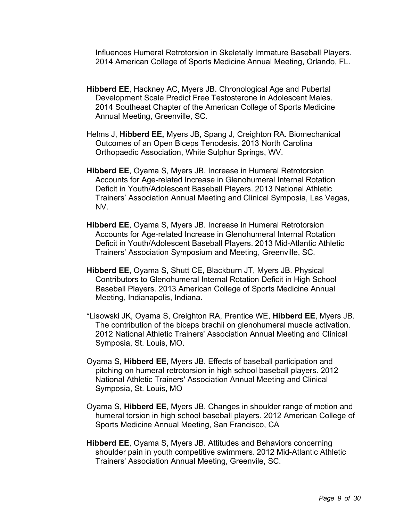Influences Humeral Retrotorsion in Skeletally Immature Baseball Players. 2014 American College of Sports Medicine Annual Meeting, Orlando, FL.

- **Hibberd EE**, Hackney AC, Myers JB. Chronological Age and Pubertal Development Scale Predict Free Testosterone in Adolescent Males. 2014 Southeast Chapter of the American College of Sports Medicine Annual Meeting, Greenville, SC.
- Helms J, **Hibberd EE,** Myers JB, Spang J, Creighton RA. Biomechanical Outcomes of an Open Biceps Tenodesis. 2013 North Carolina Orthopaedic Association, White Sulphur Springs, WV.
- **Hibberd EE**, Oyama S, Myers JB. Increase in Humeral Retrotorsion Accounts for Age-related Increase in Glenohumeral Internal Rotation Deficit in Youth/Adolescent Baseball Players. 2013 National Athletic Trainers' Association Annual Meeting and Clinical Symposia, Las Vegas, NV.
- **Hibberd EE**, Oyama S, Myers JB. Increase in Humeral Retrotorsion Accounts for Age-related Increase in Glenohumeral Internal Rotation Deficit in Youth/Adolescent Baseball Players. 2013 Mid-Atlantic Athletic Trainers' Association Symposium and Meeting, Greenville, SC.
- **Hibberd EE**, Oyama S, Shutt CE, Blackburn JT, Myers JB. Physical Contributors to Glenohumeral Internal Rotation Deficit in High School Baseball Players. 2013 American College of Sports Medicine Annual Meeting, Indianapolis, Indiana.
- \*Lisowski JK, Oyama S, Creighton RA, Prentice WE, **Hibberd EE**, Myers JB. The contribution of the biceps brachii on glenohumeral muscle activation. 2012 National Athletic Trainers' Association Annual Meeting and Clinical Symposia, St. Louis, MO.
- Oyama S, **Hibberd EE**, Myers JB. Effects of baseball participation and pitching on humeral retrotorsion in high school baseball players. 2012 National Athletic Trainers' Association Annual Meeting and Clinical Symposia, St. Louis, MO
- Oyama S, **Hibberd EE**, Myers JB. Changes in shoulder range of motion and humeral torsion in high school baseball players. 2012 American College of Sports Medicine Annual Meeting, San Francisco, CA
- **Hibberd EE**, Oyama S, Myers JB. Attitudes and Behaviors concerning shoulder pain in youth competitive swimmers. 2012 Mid-Atlantic Athletic Trainers' Association Annual Meeting, Greenvile, SC.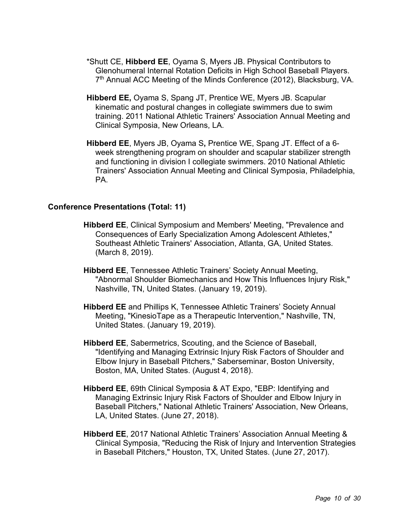- \*Shutt CE, **Hibberd EE**, Oyama S, Myers JB. Physical Contributors to Glenohumeral Internal Rotation Deficits in High School Baseball Players. 7<sup>th</sup> Annual ACC Meeting of the Minds Conference (2012), Blacksburg, VA.
- **Hibberd EE,** Oyama S, Spang JT, Prentice WE, Myers JB. Scapular kinematic and postural changes in collegiate swimmers due to swim training. 2011 National Athletic Trainers' Association Annual Meeting and Clinical Symposia, New Orleans, LA.
- **Hibberd EE**, Myers JB, Oyama S**,** Prentice WE, Spang JT. Effect of a 6 week strengthening program on shoulder and scapular stabilizer strength and functioning in division I collegiate swimmers. 2010 National Athletic Trainers' Association Annual Meeting and Clinical Symposia, Philadelphia, PA.

### **Conference Presentations (Total: 11)**

- **Hibberd EE**, Clinical Symposium and Members' Meeting, "Prevalence and Consequences of Early Specialization Among Adolescent Athletes," Southeast Athletic Trainers' Association, Atlanta, GA, United States. (March 8, 2019).
- **Hibberd EE**, Tennessee Athletic Trainers' Society Annual Meeting, "Abnormal Shoulder Biomechanics and How This Influences Injury Risk," Nashville, TN, United States. (January 19, 2019).
- **Hibberd EE** and Phillips K, Tennessee Athletic Trainers' Society Annual Meeting, "KinesioTape as a Therapeutic Intervention," Nashville, TN, United States. (January 19, 2019).
- **Hibberd EE**, Sabermetrics, Scouting, and the Science of Baseball, "Identifying and Managing Extrinsic Injury Risk Factors of Shoulder and Elbow Injury in Baseball Pitchers," Saberseminar, Boston University, Boston, MA, United States. (August 4, 2018).
- **Hibberd EE**, 69th Clinical Symposia & AT Expo, "EBP: Identifying and Managing Extrinsic Injury Risk Factors of Shoulder and Elbow Injury in Baseball Pitchers," National Athletic Trainers' Association, New Orleans, LA, United States. (June 27, 2018).
- **Hibberd EE**, 2017 National Athletic Trainers' Association Annual Meeting & Clinical Symposia, "Reducing the Risk of Injury and Intervention Strategies in Baseball Pitchers," Houston, TX, United States. (June 27, 2017).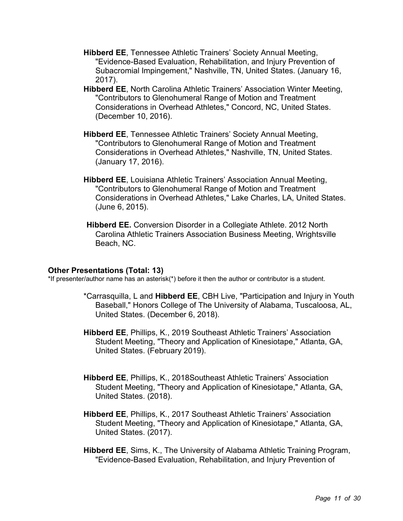- **Hibberd EE**, Tennessee Athletic Trainers' Society Annual Meeting, "Evidence-Based Evaluation, Rehabilitation, and Injury Prevention of Subacromial Impingement," Nashville, TN, United States. (January 16, 2017).
- **Hibberd EE**, North Carolina Athletic Trainers' Association Winter Meeting, "Contributors to Glenohumeral Range of Motion and Treatment Considerations in Overhead Athletes," Concord, NC, United States. (December 10, 2016).
- **Hibberd EE**, Tennessee Athletic Trainers' Society Annual Meeting, "Contributors to Glenohumeral Range of Motion and Treatment Considerations in Overhead Athletes," Nashville, TN, United States. (January 17, 2016).
- **Hibberd EE**, Louisiana Athletic Trainers' Association Annual Meeting, "Contributors to Glenohumeral Range of Motion and Treatment Considerations in Overhead Athletes," Lake Charles, LA, United States. (June 6, 2015).
- **Hibberd EE.** Conversion Disorder in a Collegiate Athlete. 2012 North Carolina Athletic Trainers Association Business Meeting, Wrightsville Beach, NC.

#### **Other Presentations (Total: 13)**

\*If presenter/author name has an asterisk(\*) before it then the author or contributor is a student.

- \*Carrasquilla, L and **Hibberd EE**, CBH Live, "Participation and Injury in Youth Baseball," Honors College of The University of Alabama, Tuscaloosa, AL, United States. (December 6, 2018).
- **Hibberd EE**, Phillips, K., 2019 Southeast Athletic Trainers' Association Student Meeting, "Theory and Application of Kinesiotape," Atlanta, GA, United States. (February 2019).
- **Hibberd EE**, Phillips, K., 2018Southeast Athletic Trainers' Association Student Meeting, "Theory and Application of Kinesiotape," Atlanta, GA, United States. (2018).
- **Hibberd EE**, Phillips, K., 2017 Southeast Athletic Trainers' Association Student Meeting, "Theory and Application of Kinesiotape," Atlanta, GA, United States. (2017).
- **Hibberd EE**, Sims, K., The University of Alabama Athletic Training Program, "Evidence-Based Evaluation, Rehabilitation, and Injury Prevention of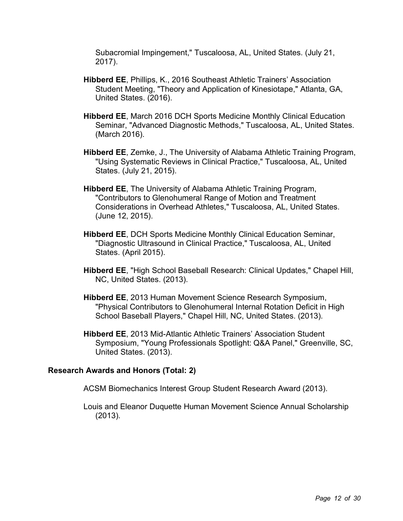Subacromial Impingement," Tuscaloosa, AL, United States. (July 21, 2017).

- **Hibberd EE**, Phillips, K., 2016 Southeast Athletic Trainers' Association Student Meeting, "Theory and Application of Kinesiotape," Atlanta, GA, United States. (2016).
- **Hibberd EE**, March 2016 DCH Sports Medicine Monthly Clinical Education Seminar, "Advanced Diagnostic Methods," Tuscaloosa, AL, United States. (March 2016).
- **Hibberd EE**, Zemke, J., The University of Alabama Athletic Training Program, "Using Systematic Reviews in Clinical Practice," Tuscaloosa, AL, United States. (July 21, 2015).
- **Hibberd EE**, The University of Alabama Athletic Training Program, "Contributors to Glenohumeral Range of Motion and Treatment Considerations in Overhead Athletes," Tuscaloosa, AL, United States. (June 12, 2015).
- **Hibberd EE**, DCH Sports Medicine Monthly Clinical Education Seminar, "Diagnostic Ultrasound in Clinical Practice," Tuscaloosa, AL, United States. (April 2015).
- **Hibberd EE**, "High School Baseball Research: Clinical Updates," Chapel Hill, NC, United States. (2013).
- **Hibberd EE**, 2013 Human Movement Science Research Symposium, "Physical Contributors to Glenohumeral Internal Rotation Deficit in High School Baseball Players," Chapel Hill, NC, United States. (2013).
- **Hibberd EE**, 2013 Mid-Atlantic Athletic Trainers' Association Student Symposium, "Young Professionals Spotlight: Q&A Panel," Greenville, SC, United States. (2013).

### **Research Awards and Honors (Total: 2)**

ACSM Biomechanics Interest Group Student Research Award (2013).

Louis and Eleanor Duquette Human Movement Science Annual Scholarship (2013).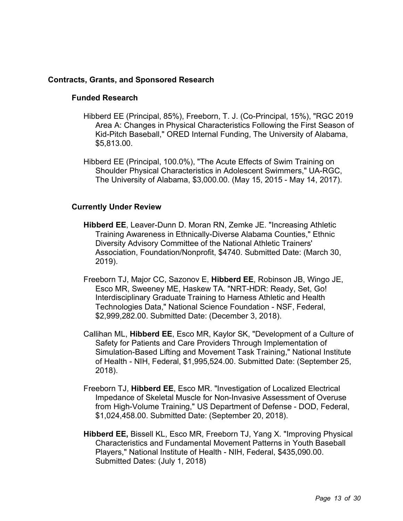### **Contracts, Grants, and Sponsored Research**

### **Funded Research**

- Hibberd EE (Principal, 85%), Freeborn, T. J. (Co-Principal, 15%), "RGC 2019 Area A: Changes in Physical Characteristics Following the First Season of Kid-Pitch Baseball," ORED Internal Funding, The University of Alabama, \$5,813.00.
- Hibberd EE (Principal, 100.0%), "The Acute Effects of Swim Training on Shoulder Physical Characteristics in Adolescent Swimmers," UA-RGC, The University of Alabama, \$3,000.00. (May 15, 2015 - May 14, 2017).

### **Currently Under Review**

- **Hibberd EE**, Leaver-Dunn D. Moran RN, Zemke JE. "Increasing Athletic Training Awareness in Ethnically-Diverse Alabama Counties," Ethnic Diversity Advisory Committee of the National Athletic Trainers' Association, Foundation/Nonprofit, \$4740. Submitted Date: (March 30, 2019).
- Freeborn TJ, Major CC, Sazonov E, **Hibberd EE**, Robinson JB, Wingo JE, Esco MR, Sweeney ME, Haskew TA. "NRT-HDR: Ready, Set, Go! Interdisciplinary Graduate Training to Harness Athletic and Health Technologies Data," National Science Foundation - NSF, Federal, \$2,999,282.00. Submitted Date: (December 3, 2018).
- Callihan ML, **Hibberd EE**, Esco MR, Kaylor SK, "Development of a Culture of Safety for Patients and Care Providers Through Implementation of Simulation-Based Lifting and Movement Task Training," National Institute of Health - NIH, Federal, \$1,995,524.00. Submitted Date: (September 25, 2018).
- Freeborn TJ, **Hibberd EE**, Esco MR. "Investigation of Localized Electrical Impedance of Skeletal Muscle for Non-Invasive Assessment of Overuse from High-Volume Training," US Department of Defense - DOD, Federal, \$1,024,458.00. Submitted Date: (September 20, 2018).
- **Hibberd EE,** Bissell KL, Esco MR, Freeborn TJ, Yang X. "Improving Physical Characteristics and Fundamental Movement Patterns in Youth Baseball Players," National Institute of Health - NIH, Federal, \$435,090.00. Submitted Dates: (July 1, 2018)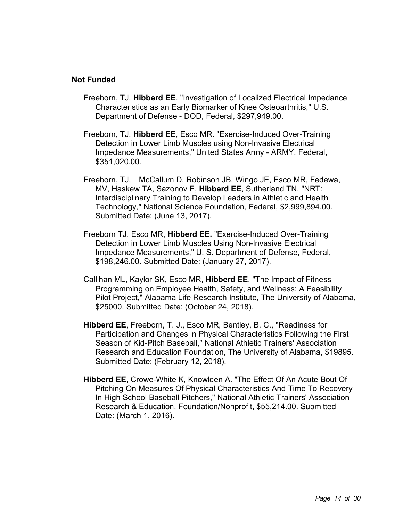### **Not Funded**

- Freeborn, TJ, **Hibberd EE**. "Investigation of Localized Electrical Impedance Characteristics as an Early Biomarker of Knee Osteoarthritis," U.S. Department of Defense - DOD, Federal, \$297,949.00.
- Freeborn, TJ, **Hibberd EE**, Esco MR. "Exercise-Induced Over-Training Detection in Lower Limb Muscles using Non-Invasive Electrical Impedance Measurements," United States Army - ARMY, Federal, \$351,020.00.
- Freeborn, TJ, McCallum D, Robinson JB, Wingo JE, Esco MR, Fedewa, MV, Haskew TA, Sazonov E, **Hibberd EE**, Sutherland TN. "NRT: Interdisciplinary Training to Develop Leaders in Athletic and Health Technology," National Science Foundation, Federal, \$2,999,894.00. Submitted Date: (June 13, 2017).
- Freeborn TJ, Esco MR, **Hibberd EE.** "Exercise-Induced Over-Training Detection in Lower Limb Muscles Using Non-Invasive Electrical Impedance Measurements," U. S. Department of Defense, Federal, \$198,246.00. Submitted Date: (January 27, 2017).
- Callihan ML, Kaylor SK, Esco MR, **Hibberd EE**. "The Impact of Fitness Programming on Employee Health, Safety, and Wellness: A Feasibility Pilot Project," Alabama Life Research Institute, The University of Alabama, \$25000. Submitted Date: (October 24, 2018).
- **Hibberd EE**, Freeborn, T. J., Esco MR, Bentley, B. C., "Readiness for Participation and Changes in Physical Characteristics Following the First Season of Kid-Pitch Baseball," National Athletic Trainers' Association Research and Education Foundation, The University of Alabama, \$19895. Submitted Date: (February 12, 2018).
- **Hibberd EE**, Crowe-White K, Knowlden A. "The Effect Of An Acute Bout Of Pitching On Measures Of Physical Characteristics And Time To Recovery In High School Baseball Pitchers," National Athletic Trainers' Association Research & Education, Foundation/Nonprofit, \$55,214.00. Submitted Date: (March 1, 2016).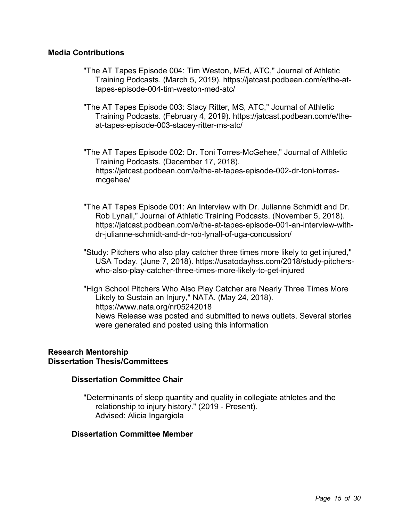### **Media Contributions**

- "The AT Tapes Episode 004: Tim Weston, MEd, ATC," Journal of Athletic Training Podcasts. (March 5, 2019). https://jatcast.podbean.com/e/the-attapes-episode-004-tim-weston-med-atc/
- "The AT Tapes Episode 003: Stacy Ritter, MS, ATC," Journal of Athletic Training Podcasts. (February 4, 2019). https://jatcast.podbean.com/e/theat-tapes-episode-003-stacey-ritter-ms-atc/
- "The AT Tapes Episode 002: Dr. Toni Torres-McGehee," Journal of Athletic Training Podcasts. (December 17, 2018). https://jatcast.podbean.com/e/the-at-tapes-episode-002-dr-toni-torresmcgehee/
- "The AT Tapes Episode 001: An Interview with Dr. Julianne Schmidt and Dr. Rob Lynall," Journal of Athletic Training Podcasts. (November 5, 2018). https://jatcast.podbean.com/e/the-at-tapes-episode-001-an-interview-withdr-julianne-schmidt-and-dr-rob-lynall-of-uga-concussion/
- "Study: Pitchers who also play catcher three times more likely to get injured," USA Today. (June 7, 2018). https://usatodayhss.com/2018/study-pitcherswho-also-play-catcher-three-times-more-likely-to-get-injured
- "High School Pitchers Who Also Play Catcher are Nearly Three Times More Likely to Sustain an Injury," NATA. (May 24, 2018). https://www.nata.org/nr05242018 News Release was posted and submitted to news outlets. Several stories were generated and posted using this information

# **Research Mentorship Dissertation Thesis/Committees**

# **Dissertation Committee Chair**

"Determinants of sleep quantity and quality in collegiate athletes and the relationship to injury history." (2019 - Present). Advised: Alicia Ingargiola

# **Dissertation Committee Member**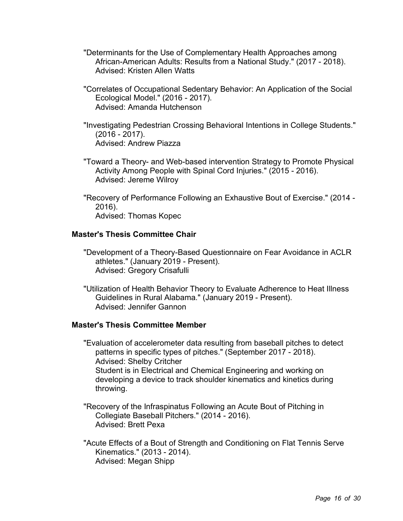- "Determinants for the Use of Complementary Health Approaches among African-American Adults: Results from a National Study." (2017 - 2018). Advised: Kristen Allen Watts
- "Correlates of Occupational Sedentary Behavior: An Application of the Social Ecological Model." (2016 - 2017). Advised: Amanda Hutchenson
- "Investigating Pedestrian Crossing Behavioral Intentions in College Students." (2016 - 2017). Advised: Andrew Piazza
- "Toward a Theory- and Web-based intervention Strategy to Promote Physical Activity Among People with Spinal Cord Injuries." (2015 - 2016). Advised: Jereme Wilroy
- "Recovery of Performance Following an Exhaustive Bout of Exercise." (2014 2016). Advised: Thomas Kopec

### **Master's Thesis Committee Chair**

- "Development of a Theory-Based Questionnaire on Fear Avoidance in ACLR athletes." (January 2019 - Present). Advised: Gregory Crisafulli
- "Utilization of Health Behavior Theory to Evaluate Adherence to Heat Illness Guidelines in Rural Alabama." (January 2019 - Present). Advised: Jennifer Gannon

# **Master's Thesis Committee Member**

"Evaluation of accelerometer data resulting from baseball pitches to detect patterns in specific types of pitches." (September 2017 - 2018). Advised: Shelby Critcher Student is in Electrical and Chemical Engineering and working on developing a device to track shoulder kinematics and kinetics during throwing.

- "Recovery of the Infraspinatus Following an Acute Bout of Pitching in Collegiate Baseball Pitchers." (2014 - 2016). Advised: Brett Pexa
- "Acute Effects of a Bout of Strength and Conditioning on Flat Tennis Serve Kinematics." (2013 - 2014). Advised: Megan Shipp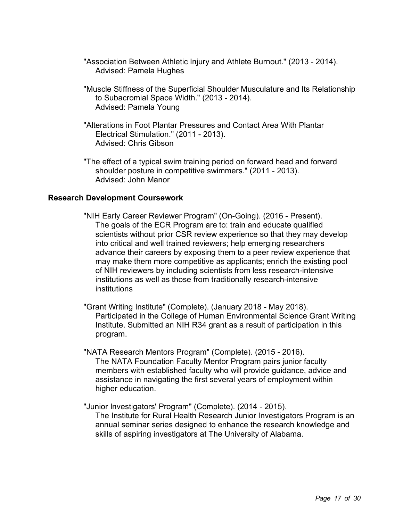- "Association Between Athletic Injury and Athlete Burnout." (2013 2014). Advised: Pamela Hughes
- "Muscle Stiffness of the Superficial Shoulder Musculature and Its Relationship to Subacromial Space Width." (2013 - 2014). Advised: Pamela Young
- "Alterations in Foot Plantar Pressures and Contact Area With Plantar Electrical Stimulation." (2011 - 2013). Advised: Chris Gibson
- "The effect of a typical swim training period on forward head and forward shoulder posture in competitive swimmers." (2011 - 2013). Advised: John Manor

### **Research Development Coursework**

- "NIH Early Career Reviewer Program" (On-Going). (2016 Present). The goals of the ECR Program are to: train and educate qualified scientists without prior CSR review experience so that they may develop into critical and well trained reviewers; help emerging researchers advance their careers by exposing them to a peer review experience that may make them more competitive as applicants; enrich the existing pool of NIH reviewers by including scientists from less research-intensive institutions as well as those from traditionally research-intensive institutions
- "Grant Writing Institute" (Complete). (January 2018 May 2018). Participated in the College of Human Environmental Science Grant Writing Institute. Submitted an NIH R34 grant as a result of participation in this program.
- "NATA Research Mentors Program" (Complete). (2015 2016). The NATA Foundation Faculty Mentor Program pairs junior faculty members with established faculty who will provide guidance, advice and assistance in navigating the first several years of employment within higher education.
- "Junior Investigators' Program" (Complete). (2014 2015). The Institute for Rural Health Research Junior Investigators Program is an annual seminar series designed to enhance the research knowledge and skills of aspiring investigators at The University of Alabama.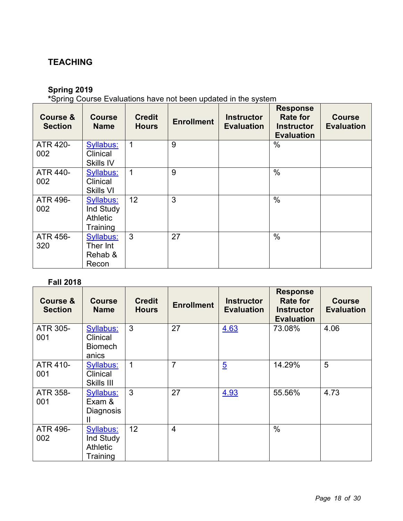# **TEACHING**

# **Spring 2019**

**\***Spring Course Evaluations have not been updated in the system

| <b>Course &amp;</b><br><b>Section</b> | <b>Course</b><br><b>Name</b>                          | <b>Credit</b><br><b>Hours</b> | <b>Enrollment</b> | <b>Instructor</b><br><b>Evaluation</b> | <b>Response</b><br><b>Rate for</b><br><b>Instructor</b><br><b>Evaluation</b> | <b>Course</b><br><b>Evaluation</b> |
|---------------------------------------|-------------------------------------------------------|-------------------------------|-------------------|----------------------------------------|------------------------------------------------------------------------------|------------------------------------|
| <b>ATR 420-</b><br>002                | Syllabus:<br>Clinical<br>Skills IV                    | $\mathbf{1}$                  | 9                 |                                        | $\%$                                                                         |                                    |
| ATR 440-<br>002                       | Syllabus:<br>Clinical<br>Skills VI                    | $\mathbf 1$                   | 9                 |                                        | $\frac{0}{0}$                                                                |                                    |
| ATR 496-<br>002                       | Syllabus:<br>Ind Study<br><b>Athletic</b><br>Training | 12                            | 3                 |                                        | $\frac{0}{0}$                                                                |                                    |
| ATR 456-<br>320                       | Syllabus:<br>Ther Int<br>Rehab &<br>Recon             | 3                             | 27                |                                        | $\frac{0}{0}$                                                                |                                    |

# **Fall 2018**

| <b>Course &amp;</b><br><b>Section</b> | <b>Course</b><br><b>Name</b>                                 | <b>Credit</b><br><b>Hours</b> | <b>Enrollment</b> | <b>Instructor</b><br><b>Evaluation</b> | <b>Response</b><br><b>Rate for</b><br><b>Instructor</b><br><b>Evaluation</b> | <b>Course</b><br><b>Evaluation</b> |
|---------------------------------------|--------------------------------------------------------------|-------------------------------|-------------------|----------------------------------------|------------------------------------------------------------------------------|------------------------------------|
| ATR 305-<br>001                       | Syllabus:<br>Clinical<br><b>Biomech</b><br>anics             | 3                             | 27                | 4.63                                   | 73.08%                                                                       | 4.06                               |
| ATR 410-<br>001                       | <b>Syllabus:</b><br>Clinical<br>Skills III                   | $\mathbf 1$                   | $\overline{7}$    | $\overline{5}$                         | 14.29%                                                                       | 5                                  |
| ATR 358-<br>001                       | Syllabus:<br>Exam &<br><b>Diagnosis</b><br>$\mathsf{II}$     | 3                             | 27                | 4.93                                   | 55.56%                                                                       | 4.73                               |
| ATR 496-<br>002                       | <b>Syllabus:</b><br>Ind Study<br><b>Athletic</b><br>Training | 12                            | 4                 |                                        | $\frac{0}{0}$                                                                |                                    |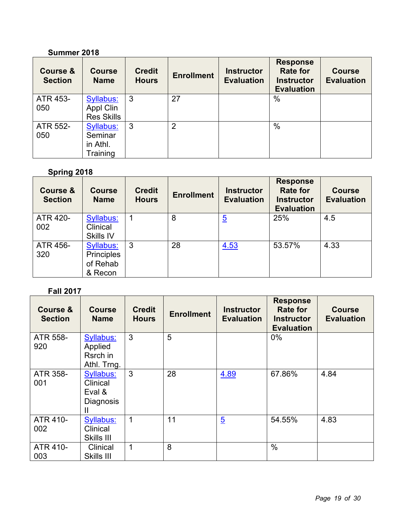# **Summer 2018**

| <b>Course &amp;</b><br><b>Section</b> | <b>Course</b><br><b>Name</b>                        | <b>Credit</b><br><b>Hours</b> | <b>Enrollment</b> | <b>Instructor</b><br><b>Evaluation</b> | <b>Response</b><br><b>Rate for</b><br><b>Instructor</b><br><b>Evaluation</b> | <b>Course</b><br><b>Evaluation</b> |
|---------------------------------------|-----------------------------------------------------|-------------------------------|-------------------|----------------------------------------|------------------------------------------------------------------------------|------------------------------------|
| ATR 453-<br>050                       | <b>Syllabus:</b><br>Appl Clin<br><b>Res Skills</b>  | 3                             | 27                |                                        | $\%$                                                                         |                                    |
| ATR 552-<br>050                       | <b>Syllabus:</b><br>Seminar<br>in Athl.<br>Training | 3                             | 2                 |                                        | $\%$                                                                         |                                    |

# **Spring 2018**

| Course &<br><b>Section</b> | <b>Course</b><br><b>Name</b>                          | <b>Credit</b><br><b>Hours</b> | <b>Enrollment</b> | <b>Instructor</b><br><b>Evaluation</b> | <b>Response</b><br><b>Rate for</b><br><b>Instructor</b><br><b>Evaluation</b> | <b>Course</b><br><b>Evaluation</b> |
|----------------------------|-------------------------------------------------------|-------------------------------|-------------------|----------------------------------------|------------------------------------------------------------------------------|------------------------------------|
| ATR 420-<br>002            | <b>Syllabus:</b><br>Clinical<br>Skills IV             |                               | 8                 | $\overline{5}$                         | 25%                                                                          | 4.5                                |
| ATR 456-<br>320            | <b>Syllabus:</b><br>Principles<br>of Rehab<br>& Recon | 3                             | 28                | 4.53                                   | 53.57%                                                                       | 4.33                               |

# **Fall 2017**

| <b>Course &amp;</b><br><b>Section</b> | <b>Course</b><br><b>Name</b>                             | <b>Credit</b><br><b>Hours</b> | <b>Enrollment</b> | <b>Instructor</b><br><b>Evaluation</b> | <b>Response</b><br><b>Rate for</b><br><b>Instructor</b><br><b>Evaluation</b> | <b>Course</b><br><b>Evaluation</b> |
|---------------------------------------|----------------------------------------------------------|-------------------------------|-------------------|----------------------------------------|------------------------------------------------------------------------------|------------------------------------|
| ATR 558-<br>920                       | <b>Syllabus:</b><br>Applied<br>Rsrch in<br>Athl. Trng.   | 3                             | 5                 |                                        | $0\%$                                                                        |                                    |
| ATR 358-<br>001                       | Syllabus:<br>Clinical<br>Eval &<br><b>Diagnosis</b><br>Ш | 3                             | 28                | 4.89                                   | 67.86%                                                                       | 4.84                               |
| <b>ATR 410-</b><br>002                | <b>Syllabus:</b><br>Clinical<br>Skills III               | 1                             | 11                | $\overline{5}$                         | 54.55%                                                                       | 4.83                               |
| ATR 410-<br>003                       | Clinical<br>Skills III                                   | 1                             | 8                 |                                        | $\frac{0}{0}$                                                                |                                    |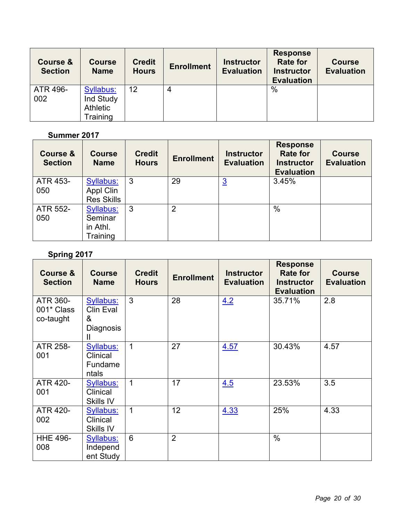| Course &<br><b>Section</b> | <b>Course</b><br><b>Name</b>                                 | <b>Credit</b><br><b>Hours</b> | <b>Enrollment</b> | <b>Instructor</b><br><b>Evaluation</b> | <b>Response</b><br><b>Rate for</b><br><b>Instructor</b><br><b>Evaluation</b> | <b>Course</b><br><b>Evaluation</b> |
|----------------------------|--------------------------------------------------------------|-------------------------------|-------------------|----------------------------------------|------------------------------------------------------------------------------|------------------------------------|
| ATR 496-<br>002            | <b>Syllabus:</b><br>Ind Study<br><b>Athletic</b><br>Training | 12                            | 4                 |                                        | $\frac{0}{0}$                                                                |                                    |

# **Summer 2017**

| Course &<br><b>Section</b> | <b>Course</b><br><b>Name</b>                        | <b>Credit</b><br><b>Hours</b> | <b>Enrollment</b> | <b>Instructor</b><br><b>Evaluation</b> | <b>Response</b><br><b>Rate for</b><br><b>Instructor</b><br><b>Evaluation</b> | <b>Course</b><br><b>Evaluation</b> |
|----------------------------|-----------------------------------------------------|-------------------------------|-------------------|----------------------------------------|------------------------------------------------------------------------------|------------------------------------|
| ATR 453-<br>050            | Syllabus:<br>Appl Clin<br><b>Res Skills</b>         | 3                             | 29                | <u>3</u>                               | 3.45%                                                                        |                                    |
| ATR 552-<br>050            | <b>Syllabus:</b><br>Seminar<br>in Athl.<br>Training | 3                             | $\overline{2}$    |                                        | $\%$                                                                         |                                    |

# **Spring 2017**

| <b>Course &amp;</b><br><b>Section</b> | <b>Course</b><br><b>Name</b>                                            | <b>Credit</b><br><b>Hours</b> | <b>Enrollment</b> | <b>Instructor</b><br><b>Evaluation</b> | <b>Response</b><br><b>Rate for</b><br><b>Instructor</b><br><b>Evaluation</b> | <b>Course</b><br><b>Evaluation</b> |
|---------------------------------------|-------------------------------------------------------------------------|-------------------------------|-------------------|----------------------------------------|------------------------------------------------------------------------------|------------------------------------|
| ATR 360-<br>001* Class<br>co-taught   | <b>Syllabus:</b><br><b>Clin Eval</b><br>&<br>Diagnosis<br>$\mathsf{II}$ | 3                             | 28                | 4.2                                    | 35.71%                                                                       | 2.8                                |
| <b>ATR 258-</b><br>001                | <b>Syllabus:</b><br>Clinical<br>Fundame<br>ntals                        | $\mathbf 1$                   | 27                | 4.57                                   | 30.43%                                                                       | 4.57                               |
| ATR 420-<br>001                       | <b>Syllabus:</b><br>Clinical<br>Skills IV                               | $\mathbf{1}$                  | 17                | 4.5                                    | 23.53%                                                                       | 3.5                                |
| ATR 420-<br>002                       | <b>Syllabus:</b><br>Clinical<br>Skills IV                               | $\mathbf 1$                   | 12                | 4.33                                   | 25%                                                                          | 4.33                               |
| <b>HHE 496-</b><br>008                | <b>Syllabus:</b><br>Independ<br>ent Study                               | 6                             | $\overline{2}$    |                                        | $\frac{0}{0}$                                                                |                                    |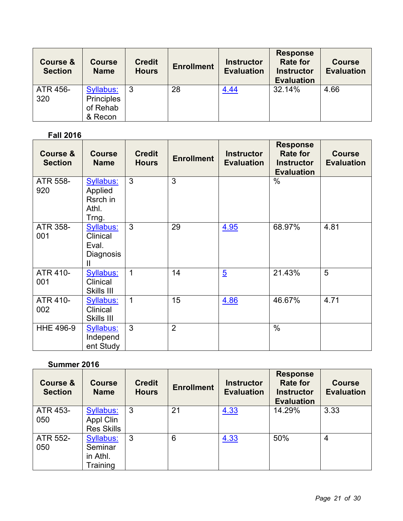| <b>Course &amp;</b><br><b>Section</b> | <b>Course</b><br><b>Name</b>                                 | <b>Credit</b><br><b>Hours</b> | <b>Enrollment</b> | <b>Instructor</b><br><b>Evaluation</b> | <b>Response</b><br><b>Rate for</b><br><b>Instructor</b><br><b>Evaluation</b> | <b>Course</b><br><b>Evaluation</b> |
|---------------------------------------|--------------------------------------------------------------|-------------------------------|-------------------|----------------------------------------|------------------------------------------------------------------------------|------------------------------------|
| ATR 456-<br>320                       | <b>Syllabus:</b><br><b>Principles</b><br>of Rehab<br>& Recon |                               | 28                | <u>4.44</u>                            | 32.14%                                                                       | 4.66                               |

# **Fall 2016**

| <b>Course &amp;</b><br><b>Section</b> | <b>Course</b><br><b>Name</b>                                              | <b>Credit</b><br><b>Hours</b> | <b>Enrollment</b> | <b>Instructor</b><br><b>Evaluation</b> | <b>Response</b><br><b>Rate for</b><br><b>Instructor</b><br><b>Evaluation</b> | <b>Course</b><br><b>Evaluation</b> |
|---------------------------------------|---------------------------------------------------------------------------|-------------------------------|-------------------|----------------------------------------|------------------------------------------------------------------------------|------------------------------------|
| ATR 558-<br>920                       | <b>Syllabus:</b><br>Applied<br>Rsrch in<br>Athl.<br>Trng.                 | 3                             | 3                 |                                        | $\%$                                                                         |                                    |
| ATR 358-<br>001                       | <b>Syllabus:</b><br>Clinical<br>Eval.<br><b>Diagnosis</b><br>$\mathbf{I}$ | 3                             | 29                | 4.95                                   | 68.97%                                                                       | 4.81                               |
| ATR 410-<br>001                       | <b>Syllabus:</b><br>Clinical<br>Skills III                                | $\mathbf{1}$                  | 14                | $\overline{5}$                         | 21.43%                                                                       | 5                                  |
| ATR 410-<br>002                       | <b>Syllabus:</b><br>Clinical<br>Skills III                                | $\mathbf{1}$                  | 15                | 4.86                                   | 46.67%                                                                       | 4.71                               |
| <b>HHE 496-9</b>                      | <b>Syllabus:</b><br>Independ<br>ent Study                                 | 3                             | $\overline{2}$    |                                        | $\%$                                                                         |                                    |

# **Summer 2016**

| <b>Course &amp;</b><br><b>Section</b> | <b>Course</b><br><b>Name</b>                        | <b>Credit</b><br><b>Hours</b> | <b>Enrollment</b> | <b>Instructor</b><br><b>Evaluation</b> | <b>Response</b><br><b>Rate for</b><br><b>Instructor</b><br><b>Evaluation</b> | <b>Course</b><br><b>Evaluation</b> |
|---------------------------------------|-----------------------------------------------------|-------------------------------|-------------------|----------------------------------------|------------------------------------------------------------------------------|------------------------------------|
| ATR 453-<br>050                       | <b>Syllabus:</b><br>Appl Clin<br><b>Res Skills</b>  | 3                             | 21                | 4.33                                   | 14.29%                                                                       | 3.33                               |
| ATR 552-<br>050                       | <b>Syllabus:</b><br>Seminar<br>in Athl.<br>Training | 3                             | 6                 | 4.33                                   | 50%                                                                          | $\overline{4}$                     |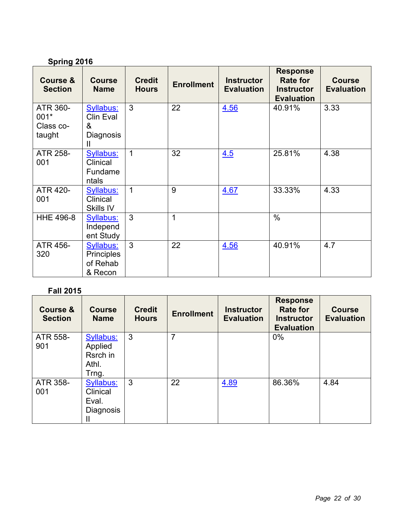# **Spring 2016**

| <b>Course &amp;</b><br><b>Section</b>   | <b>Course</b><br><b>Name</b>                                       | <b>Credit</b><br><b>Hours</b> | <b>Enrollment</b> | <b>Instructor</b><br><b>Evaluation</b> | <b>Response</b><br><b>Rate for</b><br><b>Instructor</b><br><b>Evaluation</b> | <b>Course</b><br><b>Evaluation</b> |
|-----------------------------------------|--------------------------------------------------------------------|-------------------------------|-------------------|----------------------------------------|------------------------------------------------------------------------------|------------------------------------|
| ATR 360-<br>001*<br>Class co-<br>taught | <b>Syllabus:</b><br><b>Clin Eval</b><br>&<br><b>Diagnosis</b><br>Ш | 3                             | 22                | 4.56                                   | 40.91%                                                                       | 3.33                               |
| ATR 258-<br>001                         | Syllabus:<br>Clinical<br>Fundame<br>ntals                          | $\mathbf{1}$                  | 32                | 4.5                                    | 25.81%                                                                       | 4.38                               |
| <b>ATR 420-</b><br>001                  | Syllabus:<br>Clinical<br>Skills IV                                 | $\mathbf{1}$                  | 9                 | 4.67                                   | 33.33%                                                                       | 4.33                               |
| <b>HHE 496-8</b>                        | Syllabus:<br>Independ<br>ent Study                                 | 3                             | 1                 |                                        | $\frac{0}{0}$                                                                |                                    |
| ATR 456-<br>320                         | <b>Syllabus:</b><br><b>Principles</b><br>of Rehab<br>& Recon       | $\mathbf{3}$                  | 22                | 4.56                                   | 40.91%                                                                       | 4.7                                |

# **Fall 2015**

| <b>Course &amp;</b><br><b>Section</b> | <b>Course</b><br><b>Name</b> | <b>Credit</b><br><b>Hours</b> | <b>Enrollment</b> | <b>Instructor</b><br><b>Evaluation</b> | <b>Response</b><br><b>Rate for</b><br><b>Instructor</b><br><b>Evaluation</b> | <b>Course</b><br><b>Evaluation</b> |
|---------------------------------------|------------------------------|-------------------------------|-------------------|----------------------------------------|------------------------------------------------------------------------------|------------------------------------|
| ATR 558-                              | <b>Syllabus:</b>             | 3                             | 7                 |                                        | 0%                                                                           |                                    |
| 901                                   | Applied                      |                               |                   |                                        |                                                                              |                                    |
|                                       | Rsrch in                     |                               |                   |                                        |                                                                              |                                    |
|                                       | Athl.<br>Trng.               |                               |                   |                                        |                                                                              |                                    |
| ATR 358-                              | Syllabus:                    | 3                             | 22                | 4.89                                   | 86.36%                                                                       | 4.84                               |
| 001                                   | Clinical                     |                               |                   |                                        |                                                                              |                                    |
|                                       | Eval.                        |                               |                   |                                        |                                                                              |                                    |
|                                       | Diagnosis                    |                               |                   |                                        |                                                                              |                                    |
|                                       | Ш                            |                               |                   |                                        |                                                                              |                                    |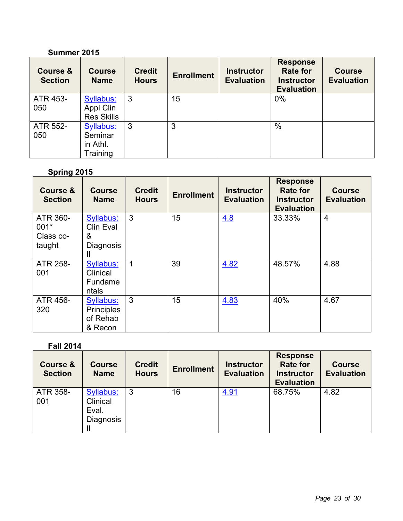# **Summer 2015**

| <b>Course &amp;</b><br><b>Section</b> | <b>Course</b><br><b>Name</b>                               | <b>Credit</b><br><b>Hours</b> | <b>Enrollment</b> | <b>Instructor</b><br><b>Evaluation</b> | <b>Response</b><br><b>Rate for</b><br><b>Instructor</b><br><b>Evaluation</b> | <b>Course</b><br><b>Evaluation</b> |
|---------------------------------------|------------------------------------------------------------|-------------------------------|-------------------|----------------------------------------|------------------------------------------------------------------------------|------------------------------------|
| ATR 453-<br>050                       | <b>Syllabus:</b><br>Appl Clin<br><b>Res Skills</b>         | 3                             | 15                |                                        | 0%                                                                           |                                    |
| ATR 552-<br>050                       | <b>Syllabus:</b><br>Seminar<br>in Athl.<br><b>Training</b> | 3                             | 3                 |                                        | $\%$                                                                         |                                    |

# **Spring 2015**

| <b>Course &amp;</b><br><b>Section</b>   | <b>Course</b><br><b>Name</b>                                 | <b>Credit</b><br><b>Hours</b> | <b>Enrollment</b> | <b>Instructor</b><br><b>Evaluation</b> | <b>Response</b><br><b>Rate for</b><br><b>Instructor</b><br><b>Evaluation</b> | <b>Course</b><br><b>Evaluation</b> |
|-----------------------------------------|--------------------------------------------------------------|-------------------------------|-------------------|----------------------------------------|------------------------------------------------------------------------------|------------------------------------|
| ATR 360-<br>001*<br>Class co-<br>taught | Syllabus:<br>Clin Eval<br>&<br><b>Diagnosis</b><br>Ш         | 3                             | 15                | 4.8                                    | 33.33%                                                                       | $\overline{4}$                     |
| ATR 258-<br>001                         | Syllabus:<br>Clinical<br>Fundame<br>ntals                    | 1                             | 39                | 4.82                                   | 48.57%                                                                       | 4.88                               |
| ATR 456-<br>320                         | <b>Syllabus:</b><br><b>Principles</b><br>of Rehab<br>& Recon | 3                             | 15                | 4.83                                   | 40%                                                                          | 4.67                               |

# **Fall 2014**

| <b>Course &amp;</b><br><b>Section</b> | <b>Course</b><br><b>Name</b>                                                | <b>Credit</b><br><b>Hours</b> | <b>Enrollment</b> | <b>Instructor</b><br><b>Evaluation</b> | <b>Response</b><br><b>Rate for</b><br><b>Instructor</b><br><b>Evaluation</b> | <b>Course</b><br><b>Evaluation</b> |
|---------------------------------------|-----------------------------------------------------------------------------|-------------------------------|-------------------|----------------------------------------|------------------------------------------------------------------------------|------------------------------------|
| ATR 358-<br>001                       | <b>Syllabus:</b><br>Clinical<br>Eval.<br>Diagnosis<br>$\mathbf{\mathsf{I}}$ | 3                             | 16                | 4.91                                   | 68.75%                                                                       | 4.82                               |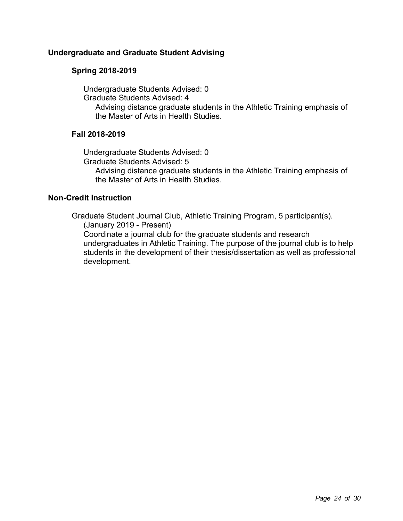# **Undergraduate and Graduate Student Advising**

# **Spring 2018-2019**

Undergraduate Students Advised: 0

Graduate Students Advised: 4

Advising distance graduate students in the Athletic Training emphasis of the Master of Arts in Health Studies.

# **Fall 2018-2019**

Undergraduate Students Advised: 0 Graduate Students Advised: 5 Advising distance graduate students in the Athletic Training emphasis of the Master of Arts in Health Studies.

# **Non-Credit Instruction**

Graduate Student Journal Club, Athletic Training Program, 5 participant(s). (January 2019 - Present) Coordinate a journal club for the graduate students and research undergraduates in Athletic Training. The purpose of the journal club is to help students in the development of their thesis/dissertation as well as professional development.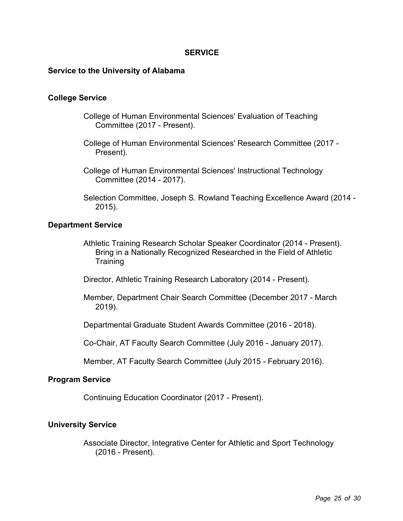### **SERVICE**

#### **Service to the University of Alabama**

#### **College Service**

- College of Human Environmental Sciences' Evaluation of Teaching Committee (2017 - Present).
- College of Human Environmental Sciences' Research Committee (2017 Present).
- College of Human Environmental Sciences' Instructional Technology Committee (2014 - 2017).
- Selection Committee, Joseph S. Rowland Teaching Excellence Award (2014 2015).

#### **Department Service**

- Athletic Training Research Scholar Speaker Coordinator (2014 Present). Bring in a Nationally Recognized Researched in the Field of Athletic **Training**
- Director, Athletic Training Research Laboratory (2014 Present).
- Member, Department Chair Search Committee (December 2017 March 2019).
- Departmental Graduate Student Awards Committee (2016 2018).

Co-Chair, AT Faculty Search Committee (July 2016 - January 2017).

Member, AT Faculty Search Committee (July 2015 - February 2016).

#### **Program Service**

Continuing Education Coordinator (2017 - Present).

### **University Service**

Associate Director, Integrative Center for Athletic and Sport Technology (2016 - Present).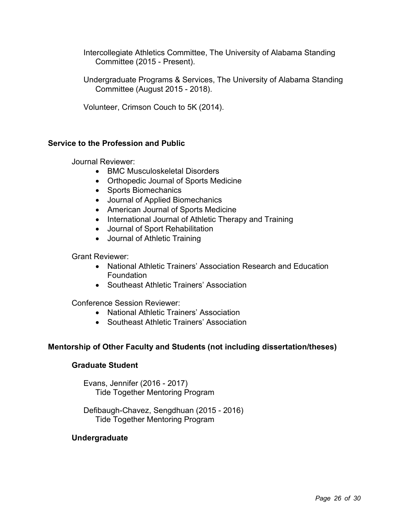Intercollegiate Athletics Committee, The University of Alabama Standing Committee (2015 - Present).

Undergraduate Programs & Services, The University of Alabama Standing Committee (August 2015 - 2018).

Volunteer, Crimson Couch to 5K (2014).

# **Service to the Profession and Public**

Journal Reviewer:

- BMC Musculoskeletal Disorders
- Orthopedic Journal of Sports Medicine
- Sports Biomechanics
- Journal of Applied Biomechanics
- American Journal of Sports Medicine
- International Journal of Athletic Therapy and Training
- Journal of Sport Rehabilitation
- Journal of Athletic Training

Grant Reviewer:

- National Athletic Trainers' Association Research and Education Foundation
- Southeast Athletic Trainers' Association

Conference Session Reviewer:

- National Athletic Trainers' Association
- Southeast Athletic Trainers' Association

# **Mentorship of Other Faculty and Students (not including dissertation/theses)**

# **Graduate Student**

Evans, Jennifer (2016 - 2017) Tide Together Mentoring Program

Defibaugh-Chavez, Sengdhuan (2015 - 2016) Tide Together Mentoring Program

# **Undergraduate**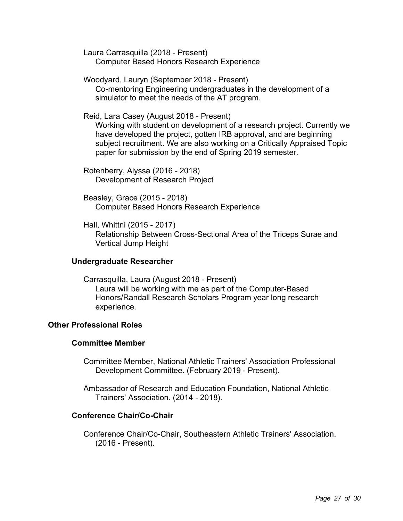Laura Carrasquilla (2018 - Present) Computer Based Honors Research Experience

Woodyard, Lauryn (September 2018 - Present) Co-mentoring Engineering undergraduates in the development of a simulator to meet the needs of the AT program.

Reid, Lara Casey (August 2018 - Present)

Working with student on development of a research project. Currently we have developed the project, gotten IRB approval, and are beginning subject recruitment. We are also working on a Critically Appraised Topic paper for submission by the end of Spring 2019 semester.

Rotenberry, Alyssa (2016 - 2018) Development of Research Project

Beasley, Grace (2015 - 2018) Computer Based Honors Research Experience

Hall, Whittni (2015 - 2017) Relationship Between Cross-Sectional Area of the Triceps Surae and Vertical Jump Height

### **Undergraduate Researcher**

Carrasquilla, Laura (August 2018 - Present) Laura will be working with me as part of the Computer-Based Honors/Randall Research Scholars Program year long research experience.

# **Other Professional Roles**

# **Committee Member**

Committee Member, National Athletic Trainers' Association Professional Development Committee. (February 2019 - Present).

Ambassador of Research and Education Foundation, National Athletic Trainers' Association. (2014 - 2018).

### **Conference Chair/Co-Chair**

Conference Chair/Co-Chair, Southeastern Athletic Trainers' Association. (2016 - Present).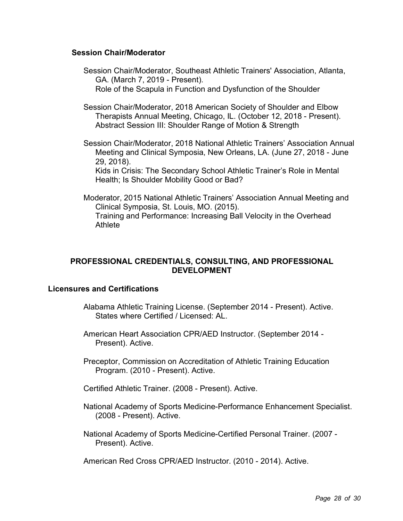### **Session Chair/Moderator**

- Session Chair/Moderator, Southeast Athletic Trainers' Association, Atlanta, GA. (March 7, 2019 - Present). Role of the Scapula in Function and Dysfunction of the Shoulder
- Session Chair/Moderator, 2018 American Society of Shoulder and Elbow Therapists Annual Meeting, Chicago, IL. (October 12, 2018 - Present). Abstract Session III: Shoulder Range of Motion & Strength
- Session Chair/Moderator, 2018 National Athletic Trainers' Association Annual Meeting and Clinical Symposia, New Orleans, LA. (June 27, 2018 - June 29, 2018).

Kids in Crisis: The Secondary School Athletic Trainer's Role in Mental Health; Is Shoulder Mobility Good or Bad?

Moderator, 2015 National Athletic Trainers' Association Annual Meeting and Clinical Symposia, St. Louis, MO. (2015). Training and Performance: Increasing Ball Velocity in the Overhead Athlete

# **PROFESSIONAL CREDENTIALS, CONSULTING, AND PROFESSIONAL DEVELOPMENT**

### **Licensures and Certifications**

- Alabama Athletic Training License. (September 2014 Present). Active. States where Certified / Licensed: AL.
- American Heart Association CPR/AED Instructor. (September 2014 Present). Active.
- Preceptor, Commission on Accreditation of Athletic Training Education Program. (2010 - Present). Active.
- Certified Athletic Trainer. (2008 Present). Active.
- National Academy of Sports Medicine-Performance Enhancement Specialist. (2008 - Present). Active.
- National Academy of Sports Medicine-Certified Personal Trainer. (2007 Present). Active.

American Red Cross CPR/AED Instructor. (2010 - 2014). Active.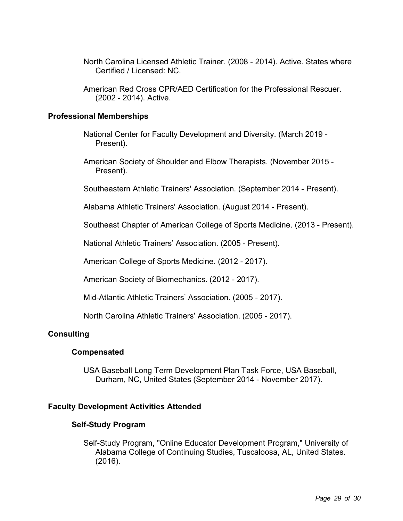- North Carolina Licensed Athletic Trainer. (2008 2014). Active. States where Certified / Licensed: NC.
- American Red Cross CPR/AED Certification for the Professional Rescuer. (2002 - 2014). Active.

### **Professional Memberships**

- National Center for Faculty Development and Diversity. (March 2019 Present).
- American Society of Shoulder and Elbow Therapists. (November 2015 Present).
- Southeastern Athletic Trainers' Association. (September 2014 Present).
- Alabama Athletic Trainers' Association. (August 2014 Present).
- Southeast Chapter of American College of Sports Medicine. (2013 Present).
- National Athletic Trainers' Association. (2005 Present).
- American College of Sports Medicine. (2012 2017).
- American Society of Biomechanics. (2012 2017).
- Mid-Atlantic Athletic Trainers' Association. (2005 2017).
- North Carolina Athletic Trainers' Association. (2005 2017).

# **Consulting**

### **Compensated**

USA Baseball Long Term Development Plan Task Force, USA Baseball, Durham, NC, United States (September 2014 - November 2017).

### **Faculty Development Activities Attended**

### **Self-Study Program**

Self-Study Program, "Online Educator Development Program," University of Alabama College of Continuing Studies, Tuscaloosa, AL, United States. (2016).